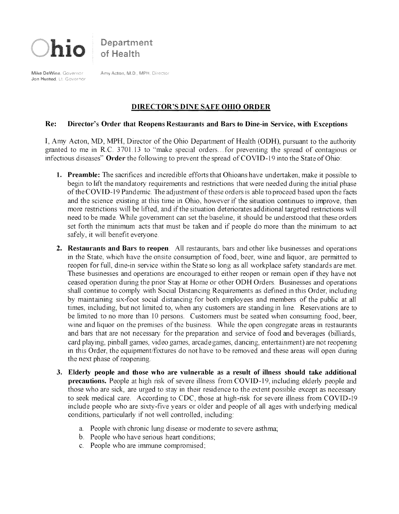

Department of Health

Mike DeWine, Governor Jon Husted, Lt. Governor Amy Acton, M.D., MPH, Director

## **DIRECTOR'S DINE SAFE OHIO ORDER**

## **Re: Director's Order that Reopens Restaurants and Bars to Dine-in Service, with Exceptions**

I, Amy Acton, MD, MPH, Director of the Ohio Department of Health **(ODH),** pursuant to the authority granted to me in R.C. 3701.13 to "make special orders... for preventing the spread of contagious or infectious diseases" **Order** the following to prevent the spread of COVID-19 into the State of Ohio:

- **1. Preamble:** The sacrifices and incredible efforts that Ohioans have undertaken, make it possible to begin to lift the mandatory requirements and restrictions that were needed during the initial phase of the COVID-19 Pandemic. The adjustment of these orders is able to proceed based upon the facts and the science existing at this time in Ohio, however if the situation continues to improve, then more restrictions will be lifted, and if the situation deteriorates additional targeted restrictions will need to be made. While government can set the baseline, it should be understood that these orders set forth the minimum acts that must be taken and if people do more than the minimum to act safely, it will benefit everyone.
- **2. Restaurants and Bars to reopen.** All restaurants, bars and other like businesses and operations in the State, which have the onsite consumption of food, beer, wine and liquor, are permitted to reopen for full, dine-in service within the State so long as all workplace safety standards are met. These businesses and operations are encouraged to either reopen or remain open if they have not ceased operation during the prior Stay at Home or other **ODH** Orders. Businesses and operations shall continue to comply with Social Distancing Requirements as defined in this Order, including by maintaining six-foot social distancing for both employees and members of the public at all times, including, but not limited to, when any customers are standing in line. Reservations are to be limited to no more than 10 persons. Customers must be seated when consuming food, beer, wine and liquor on the premises of the business. While the open congregate areas in restaurants and bars that are not necessary for the preparation and service of food and beverages (billiards, card playing, pinball games, video games, arcade games, dancing, entertainment) are not reopening in this Order, the equipment/fixtures do not have to be removed and these areas will open during the next phase of reopening.
- **3. Elderly people and those who are vulnerable as a result of illness should take additional precautions.** People at high risk of severe illness from COVID-19, including elderly people and those who are sick, are urged to stay in their residence to the extent possible except as necessary to seek medical care. According to CDC, those at high-risk for severe illness from COVID-19 include people who are sixty-five years or older and people of all ages with underlying medical conditions, particularly if not well controlled, including:
	- a. People with chronic lung disease or moderate to severe asthma;
	- b. People who have serious heart conditions;
	- c. People who are immune compromised;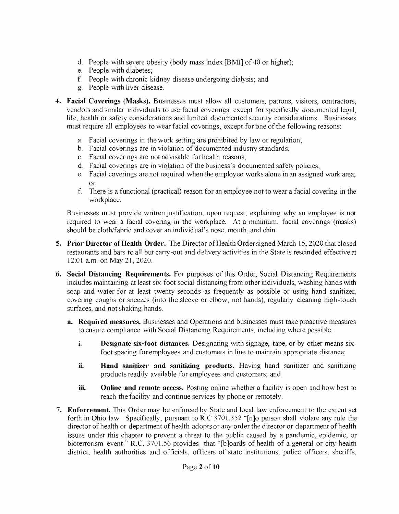- d. People with severe obesity (body mass index [BMI] of 40 or higher);
- e. People with diabetes;
- f. People with chronic kidney disease undergoing dialysis; and
- g. People with liver disease.
- **4. Facial Coverings (Masks).** Businesses must allow all customers, patrons, visitors, contractors, vendors and similar individuals to use facial coverings, except for specifically documented legal, life, health or safety considerations and limited documented security considerations. Businesses must require all employees to wear facial coverings, except for one of the following reasons:
	- a. Facial coverings in the work setting are prohibited by law or regulation;
	- b. Facial coverings are in violation of documented industry standards;
	- c. Facial coverings are not advisable for health reasons;
	- d. Facial coverings are in violation of the business's documented safety policies;
	- e. Facial coverings are not required when the employee works alone in an assigned work area; or
	- f. There is a functional (practical) reason for an employee not to wear a facial covering in the workplace.

Businesses must provide written justification, upon request, explaining why an employee is not required to wear a facial covering in the workplace. At a minimum, facial coverings (masks) should be cloth/fabric and cover an individual's nose, mouth, and chin.

- **5. Prior Director of Health Order.** The Director of Health Order signed March 15, 2020 that closed restaurants and bars to all but carry-out and delivery activities in the State is rescinded effective at 12:01 a.m. on May 21, 2020.
- **6. Social Distancing Requirements.** For purposes of this Order, Social Distancing Requirements includes maintaining at least six-foot social distancing from other individuals, washing hands with soap and water for at least twenty seconds as frequently as possible or using hand sanitizer, covering coughs or sneezes (into the sleeve or elbow, not hands), regularly cleaning high-touch surfaces, and not shaking hands.
	- **a. Required measures.** Businesses and Operations and businesses must take proactive measures to ensure compliance with Social Distancing Requirements, including where possible:
		- **1. Designate six-foot distances.** Designating with signage, tape, or by other means sixfoot spacing for employees and customers in line to maintain appropriate distance;
		- **ii. Hand sanitizer and sanitizing products.** Having hand sanitizer and sanitizing products readily available for employees and customers; and
		- **iii.** Online and remote access. Posting online whether a facility is open and how best to reach the facility and continue services by phone or remotely.
- **7. Enforcement.** This Order may be enforced by State and local law enforcement to the extent set forth in Ohio law. Specifically, pursuant to R.C 3701.352 "[n]o person shall violate any rule the director of health or department of health adopts or any order the director or department of health issues under this chapter to prevent a threat to the public caused by a pandemic, epidemic, or bioterrorism event." R.C. 3701.56 provides that "[b]oards of health of a general or city health district, health authorities and officials, officers of state institutions, police officers, sheriffs,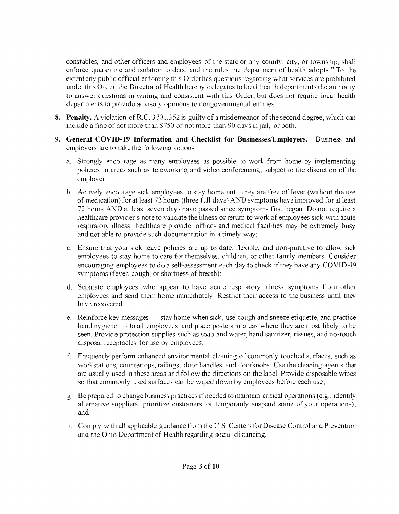constables, and other officers and employees of the state or any county, city, or township, shall enforce quarantine and isolation orders, and the rules the department of health adopts." To the extent any public official enforcing this Order has questions regarding what services are prohibited under this Order, the Director of Health hereby delegates to local health departments the authority to answer questions in writing and consistent with this Order, but does not require local health departments to provide advisory opinions to nongovernmental entities.

- **8. Penalty.** A violation of R.C. 3701.352 is guilty of a misdemeanor of the second degree, which can include a fine of not more than \$750 or not more than 90 days in jail, or both.
- **9. General COVID-19 Information and Checklist for Businesses/Employers.** Business and employers are to take the following actions:
	- a. Strongly encourage as many employees as possible to work from home by implementing policies in areas such as teleworking and video conferencing, subject to the discretion of the employer;
	- b. Actively encourage sick employees to stay home until they are free of fever (without the use of medication) for at least 72 hours (three full days) AND symptoms have improved for at least 72 hours AND at least seven days have passed since symptoms first began. Do not require a healthcare provider's note to validate the illness or return to work of employees sick with acute respiratory illness; healthcare provider offices and medical facilities may be extremely busy and not able to provide such documentation in a timely way;
	- c. Ensure that your sick leave policies are up to date, flexible, and non-punitive to allow sick employees to stay home to care for themselves, children, or other family members. Consider encouraging employees to do a self-assessment each day to check if they have any COVID-19 symptoms (fever, cough, or shortness of breath);
	- d. Separate employees who appear to have acute respiratory illness symptoms from other employees and send them home immediately. Restrict their access to the business until they have recovered;
	- e. Reinforce key messages stay home when sick, use cough and sneeze etiquette, and practice hand hygiene — to all employees, and place posters in areas where they are most likely to be seen. Provide protection supplies such as soap and water, hand sanitizer, tissues, and no-touch disposal receptacles for use by employees;
	- f. Frequently perform enhanced environmental cleaning of commonly touched surfaces, such as workstations, countertops, railings, door handles, and doorknobs. Use the cleaning agents that are usually used in these areas and follow the directions on the label. Provide disposable wipes so that commonly used surfaces can be wiped down by employees before each use;
	- g. Be prepared to change business practices if needed to maintain critical operations ( e.g., identify alternative suppliers, prioritize customers, or temporarily suspend some of your operations); and
	- h. Comply with all applicable guidance from the U.S. Centers for Disease Control and Prevention and the Ohio Department of Health regarding social distancing.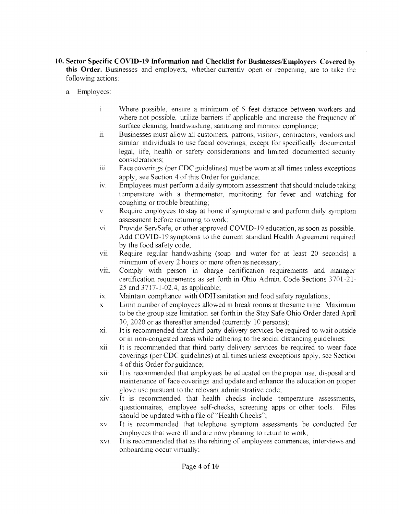- **10. Sector Specific COVID-19 Information and Checklist for Businesses/Employers Covered by this Order.** Businesses and employers, whether currently open or reopening, are to take the following actions:
	- a. Employees:
		- 1. Where possible, ensure a minimum of 6 feet distance between workers and where not possible, utilize barriers if applicable and increase the frequency of surface cleaning, hand washing, sanitizing and monitor compliance;
		- 11. Businesses must allow all customers, patrons, visitors, contractors, vendors and similar individuals to use facial coverings, except for specifically documented legal, life, health or safety considerations and limited documented security considerations;
		- $\ddot{\text{m}}$ . Face coverings (per CDC guidelines) must be worn at all times unless exceptions apply, see Section 4 of this Order for guidance;
		- 1v. Employees must perform a daily symptom assessment that should include taking temperature with a thermometer, monitoring for fever and watching for coughing or trouble breathing;
		- v. Require employees to stay at home if symptomatic and perform daily symptom assessment before returning to work;
		- vi. Provide ServSafe, or other approved COVID-19 education, as soon as possible. Add COVID-19 symptoms to the current standard Health Agreement required by the food safety code;
		- vii. Require regular handwashing (soap and water for at least 20 seconds) a minimum of every 2 hours or more often as necessary;
		- **viii. Comply with person in charge certification requirements and manager**  certification requirements as set forth in Ohio Admin. Code Sections 3701-21-25 and 3717-1-02.4, as applicable;
		- 1x. Maintain compliance with **ODH** sanitation and food safety regulations;
		- x. Limit number of employees allowed in break rooms at the same time. Maximwn to be the group size limitation set forth in the Stay Safe Ohio Order dated April 3 0, 2020 or as thereafter amended ( currently 10 persons);
		- x1. It is recommended that third party delivery services be required to wait outside or in non-congested areas while adhering to the social distancing guidelines;
		- x11. It is recommended that third party delivery services be required to wear face coverings (per **CDC** guidelines) at all times unless exceptions apply, see Section 4 of this Order for guidance;
		- x111 It is recommended that employees be educated on the proper use, disposal and maintenance of face coverings and update and enhance the education on proper glove use pursuant to the relevant administrative code;
		- xiv. It is recommended that health checks include temperature assessments, questionnaires, employee self-checks, screening apps or other tools. Files should be updated with a file of "Health Checks";
		- xv. It is recommended that telephone symptom assessments be conducted for employees that were ill and are now planning to return to work;
		- xvi. It is recommended that as the rehiring of employees commences, interviews and onboarding occur virtually;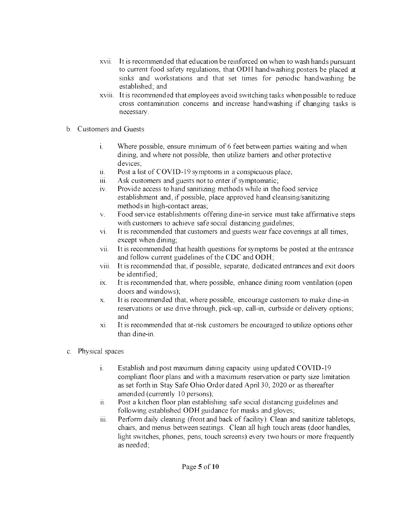- **xvii. It is recommended that education be reinforced on when to wash hands pursuant**  to current food safety regulations, that **OOH** hand washing posters be placed at sinks and workstations and that set times for periodic handwashing be established; and
- **xviii. It is recommended that employees avoid switching tasks when possible to reduce**  cross contamination concerns and increase handwashing if changing tasks is necessary.
- b. Customers and Guests
	- $1.$  Where possible, ensure minimum of 6 feet between parties waiting and when dining, and where not possible, then utilize barriers and other protective devices;
	- $\ddot{u}$ . Post a list of COVID-19 symptoms in a conspicuous place;
	- $\dddot{\text{III}}$ . Ask customers and guests not to enter if symptomatic;
	- 1v. Provide access to hand sanitizing methods while in the food service establishment and, if possible, place approved hand cleansing/sanitizing methods in high-contact areas;
	- v. Food service establishments offering dine-in service must take affirmative steps with customers to achieve safe social distancing guidelines;
	- v1. It is recommended that customers and guests wear face coverings at all times, except when dining;
	- vii. It is recommended that health questions for symptoms be posted at the entrance and follow current guidelines of the **CDC** and **OOH;**
	- viii. It is recommended that, if possible, separate, dedicated entrances and exit doors be identified;
	- ix. It is recommended that, where possible, enhance dining room ventilation (open doors and windows);
	- x. It is recommended that, where possible, encourage customers to make dine-in reservations or use drive through, pick-up, call-in, curbside or delivery options; and
	- xi It is recommended that at-risk customers be encouraged to utilize options other than dine-in.
- c. Physical spaces
	- 1. Establish and post maximum dining capacity using updated **COVID-19**  compliant floor plans and with a maximum reservation or party size limitation as set forth in Stay Safe Ohio Order dated April 30, 2020 or as thereafter amended (currently 10 persons);
	- n. Post a kitchen floor plan establishing safe social distancing guidelines and following established **OOH** guidance for masks and gloves;
	- iii. Perform daily cleaning (front and back of facility). Clean and sanitize tabletops, chairs, and menus between seatings. Clean all high touch areas (door handles, light switches, phones, pens, touch screens) every two hours or more frequently as needed;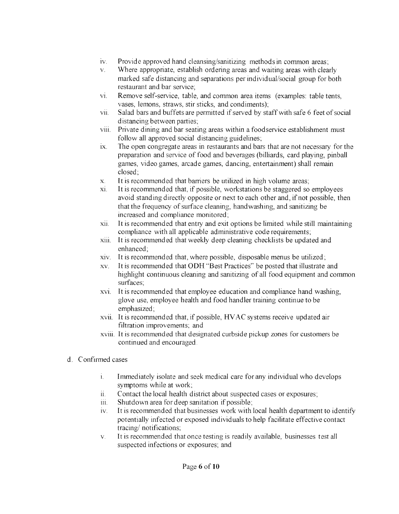- iv. Provide approved hand cleansing/sanitizing methods in common areas;
- v. Where appropriate, establish ordering areas and waiting areas with clearly marked safe distancing and separations per individual/social group for both restaurant and bar service;
- vi. Remove self-service, table, and common area items (examples: table tents, vases, lemons, straws, stir sticks, and condiments);
- vii. Salad bars and buffets are permitted if served by staff with safe 6 feet of social distancing between parties;
- **viii. Private dining and bar seating areas within a foodservice establishment must**  follow all approved social distancing guidelines;
- 1x. The open congregate areas in restaurants and bars that are not necessary for the preparation and service of food and beverages (billiards, card playing, pinball games, video games, arcade games, dancing, entertainment) shall remain closed;
- x. It is recommended that barriers be utilized in high volume areas;
- x1. It is recommended that, if possible, workstations be staggered so employees avoid standing directly opposite or next to each other and, if not possible, then that the frequency of surface cleaning, hand washing, and sanitizing be increased and compliance monitored;
- x11. It is recommended that entry and exit options be limited while still maintaining compliance with all applicable administrative code requirements;
- xiii. It is recommended that weekly deep cleaning checklists be updated and enhanced;
- xiv. It is recommended that, where possible, disposable menus be utilized;
- xv. It is recommended that **ODH** "Best Practices" be posted that illustrate and highlight continuous cleaning and sanitizing of all food equipment and common surfaces;
- xv1. It is recommended that employee education and compliance hand washing, glove use, employee health and food handler training continue to be emphasized;
- xvii. It is recommended that, if possible, HVAC systems receive updated air filtration improvements; and
- xvm. It is recommended that designated curbside pickup zones for customers be continued and encouraged.
- d. Confirmed cases
	- 1. Immediately isolate and seek medical care for any individual who develops symptoms while at work;
	- **ii. Contact the local health district about suspected cases or exposures:**
	- iii. Shutdown area for deep sanitation if possible;
	- iv. It is recommended that businesses work with local health department to identify potentially infected or exposed individuals to help facilitate effective contact tracing/ notifications;
	- v. It is recommended that once testing is readily available, businesses test all suspected infections or exposures; and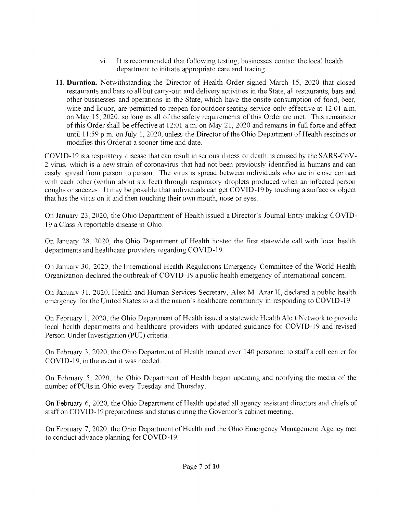- vi. It is recommended that following testing, businesses contact the local health department to initiate appropriate care and tracing.
- **11. Duration.** Notwithstanding the Director of Health Order signed March 15, 2020 that closed restaurants and bars to all but cany-out and delivery activities in the State, all restaurants, bars and other businesses and operations in the State, which have the onsite consumption of food, beer, wine and liquor, are permitted to reopen for outdoor seating service only effective at 12:01 a.m. on May 15, 2020, so long as all of the safety requirements of this Orderare met. This remainder of this Order shall be effective at 12:01 a.m. on May 21, 2020 and remains in full force and effect until 11 :59 p.m. on July l, 2020, unless the Director of the Ohio Department of Health rescinds or modifies this Order at a sooner time and date.

COVID-19 is a respiratory disease that can result in serious illness or death, is caused by the SARS-CoV-2 virus, which is a new strain of coronavirus that had not been previously identified in humans and can easily spread from person to person. The virus is spread between individuals who are in close contact with each other (within about six feet) through respiratory droplets produced when an infected person coughs or sneezes. It may be possible that individuals can get COVID-19 by touching a surface or object that has the virus on it and then touching their own mouth, nose or eyes.

On January 23, 2020, the Ohio Department of Health issued a Director's Journal Entry making COVID-19 a Class A reportable disease in Ohio.

On January 28, 2020, the Ohio Department of Health hosted the first statewide call with local health departments and healthcare providers regarding COVID-19.

On January 30, 2020, the International Health Regulations Emergency Committee of the World Health Organization declared the outbreak of COVID-19 a public health emergency of international concern.

On January 31, 2020, Health and Human Services Secretary, Alex M. Azar II, declared a public health emergency for the United States to aid the nation's healthcare community in responding to COVID-19.

On February 1, 2020, the Ohio Department of Health issued a statewide Health Alert Network to provide local health departments and healthcare providers with updated guidance for COVID-19 and revised Person Under Investigation (PUI) criteria.

On February 3, 2020, the Ohio Department of Health trained over 140 personnel to staff a call center for COVID-19, in the event it was needed.

On February 5, 2020, the Ohio Department of Health began updating and notifying the media of the number of PUis in Ohio every Tuesday and Thursday.

On February 6, 2020, the Ohio Department of Health updated all agency assistant directors and chiefs of staff on COVID-19 preparedness and status during the Governor's cabinet meeting.

On February 7, 2020, the Ohio Department of Health and the Ohio Emergency Management Agency met to conduct advance planning forCOVID-19.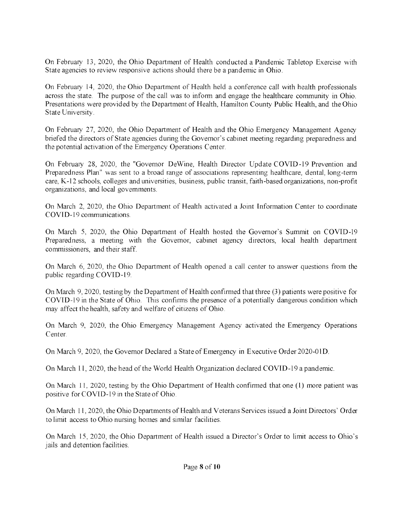On February 13, 2020, the Ohio Department of Health conducted a Pandemic Tabletop Exercise with State agencies to review responsive actions should there be a pandemic in Ohio.

On February 14, 2020, the Ohio Department of Health held a conference call with health professionals across the state. The purpose of the call was to inform and engage the healthcare community in Ohio. Presentations were provided by the Department of Health, Hamilton County Public Health, and the Ohio State University.

On February 27, 2020, the Ohio Department of Health and the Ohio Emergency Management Agency briefed the directors of State agencies during the Governor's cabinet meeting regarding preparedness and the potential activation of the Emergency Operations Center.

On February 28, 2020, the "Governor DeWine, Health Director Update COVID-19 Prevention and Preparedness Plan" was sent to a broad range of associations representing healthcare, dental, long-term care, K-12 schools, colleges and universities, business, public transit, faith-based organizations, non-profit organizations, and local governments.

On March 2, 2020, the Ohio Department of Health activated a Joint Information Center to coordinate COVID-19 communications.

On March 5, 2020, the Ohio Department of Health hosted the Governor's Summit on COVID-19 Preparedness, a meeting with the Governor, cabinet agency directors, local health department commissioners, and their staff.

On March 6, 2020, the Ohio Department of Health opened a call center to answer questions from the public regarding COVID-19.

On March 9, 2020, testing by the Department of Health confirmed that three (3) patients were positive for COVID-19 in the State of Ohio. This confirms the presence of a potentially dangerous condition which may affect the health, safety and welfare of citizens of Ohio.

On March 9, 2020, the Ohio Emergency Management Agency activated the Emergency Operations Center.

On March 9, 2020, the Governor Declared a State of Emergency in Executive Order 2020-01D.

On March 11, 2020, the head of the World Health Organization declared COVID-19 a pandemic.

On March 11, 2020, testing by the Ohio Department of Health confirmed that one ( 1) more patient was positive for COVID-19 in the State of Ohio.

On March 11, 2020, the Ohio Departments of Health and Veterans Services issued a Joint Directors' Order to limit access to Ohio nursing homes and similar facilities.

On March 15, 2020, the Ohio Department of Health issued a Director's Order to limit access to Ohio's jails and detention facilities.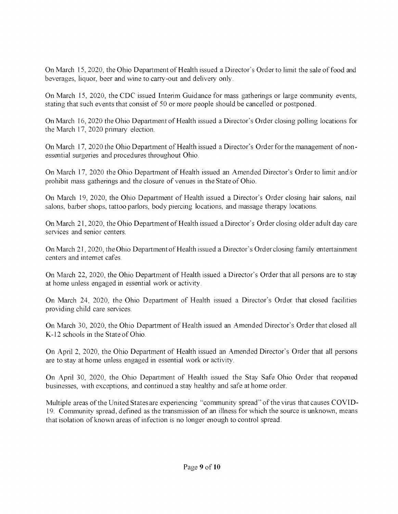On March 15, 2020, the Ohio Department of Health issued a Director's Order to limit the sale of food and beverages, liquor, beer and wine to carry-out and delivery only.

On March 15, 2020, the CDC issued Interim Guidance for mass gatherings or large community events, stating that such events that consist of 50 or more people should be cancelled or postponed

On March 16, 2020 the Ohio Department of Health issued a Director's Order closing polling locations for the March 17, 2020 primary election.

On March 17, 2020 the Ohio Department of Health issued a Director's Order for the management of nonessential surgeries and procedures throughout Ohio.

On March 17, 2020 the Ohio Department of Health issued an Amended Director's Order to limit and/or prohibit mass gatherings and the closure of venues in the State of Ohio.

On March 19, 2020, the Ohio Department of Health issued a Director's Order closing hair salons, nail salons, barber shops, tattoo parlors, body piercing locations, and massage therapy locations.

On March 21, 2020, the Ohio Department of Health issued a Director's Order closing older adult day care services and senior centers.

On March 2 l, 2020, the Ohio Department of Health issued a Director's Order closing family entertainment centers and internet cafes

On March 22, 2020, the Ohio Department of Health issued a Director's Order that all persons are to stay at home unless engaged in essential work or activity

On March 24, 2020, the Ohio Department of Health issued a Director's Order that closed facilities providing child care services.

On March 30, 2020, the Ohio Department of Health issued an Amended Director's Order that closed all K-12 schools in the State of Ohio.

On April 2, 2020, the Ohio Department of Health issued an Amended Director's Order that all persons are to stay at home unless engaged in essential work or activity.

On April 30, 2020, the Ohio Department of Health issued the Stay Safe Ohio Order that reopened businesses, with exceptions, and continued a stay healthy and safe at home order.

Multiple areas of the United States are experiencing "community spread" of the virus that causes COVID-19. Community spread, defined as the transmission of an illness for which the source is unknown, means that isolation of known areas of infection is no longer enough to control spread.